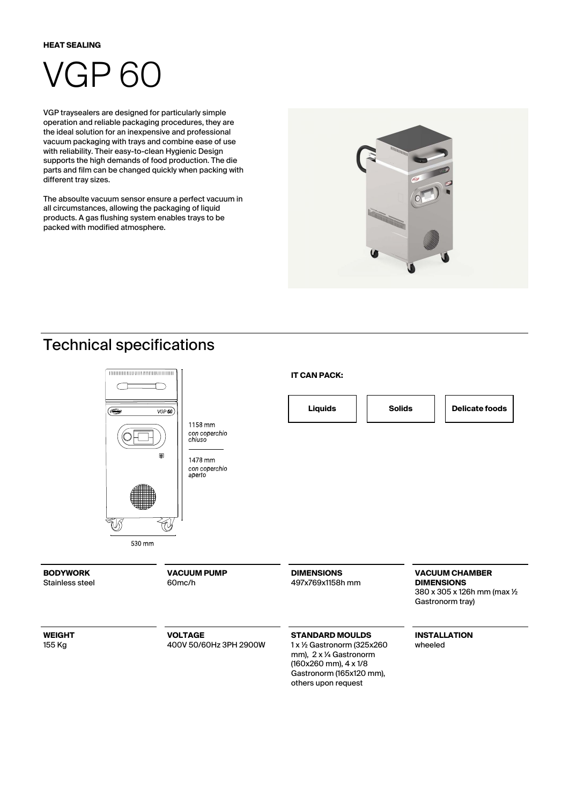#### **HEAT SEALING**

# VGP 60

VGP traysealers are designed for particularly simple operation and reliable packaging procedures, they are the ideal solution for an inexpensive and professional vacuum packaging with trays and combine ease of use with reliability. Their easy-to-clean Hygienic Design supports the high demands of food production. The die parts and film can be changed quickly when packing with different tray sizes.

The absoulte vacuum sensor ensure a perfect vacuum in all circumstances, allowing the packaging of liquid products. A gas flushing system enables trays to be packed with modified atmosphere.



### Technical specifications

155 Kg